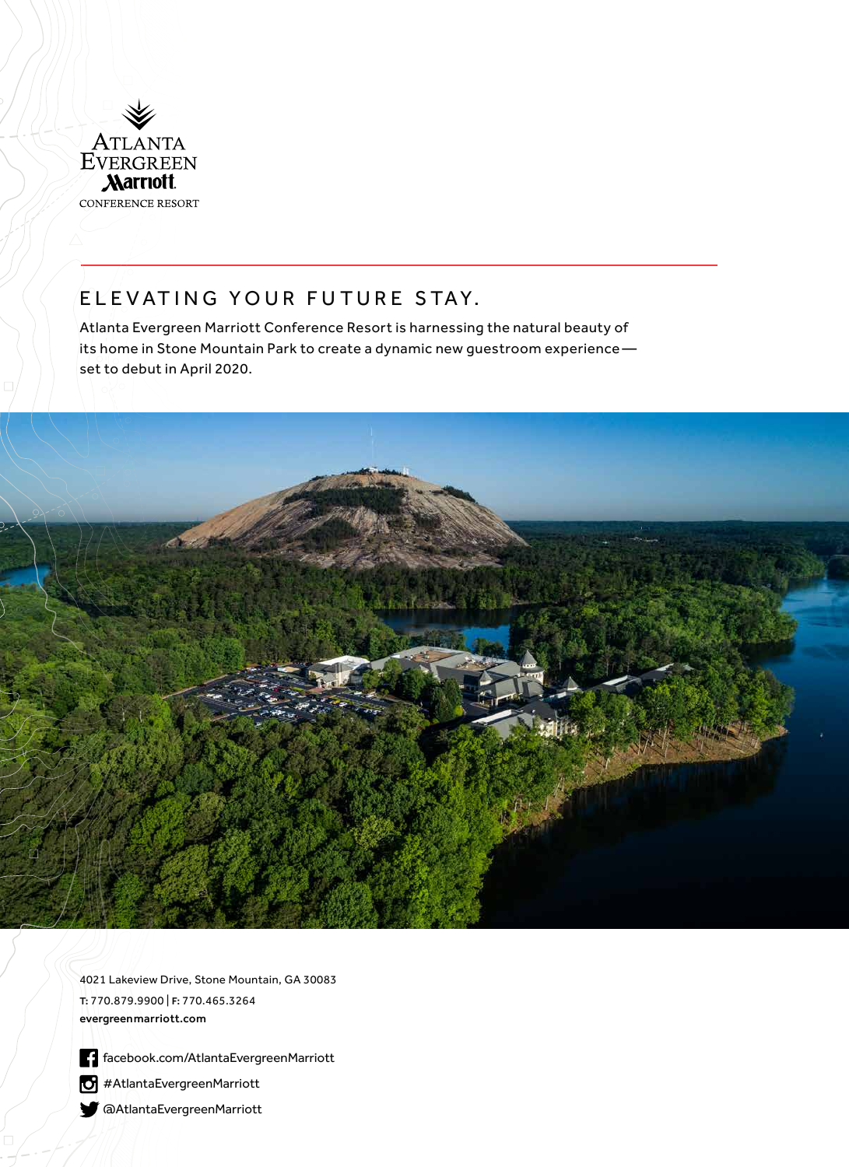

# ELEVATING YOUR FUTURE STAY.

Atlanta Evergreen Marriott Conference Resort is harnessing the natural beauty of its home in Stone Mountain Park to create a dynamic new guestroom experience set to debut in April 2020.



4021 Lakeview Drive, Stone Mountain, GA 30083 T: 770.879.9900 | F: 770.465.3264 evergreenmarriott.com

facebook.com/AtlantaEvergreenMarriott

#AtlantaEvergreenMarriott

@AtlantaEvergreenMarriott